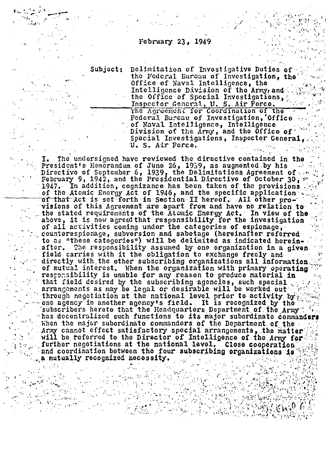Subjoct: Delimitation of Investigative Duties of the Federal Bureau of Investigation, the Office of Naval Intelligence, the Intelligence Division of the Army, and the Office of Special Investigations, Inspector General, U. S. Air Force. The Agreement for Coordination of the Federal Bureau of Investigation, Office of Naval Intelligence, Intelligence Division of the Army, and the Office of Special Investigations, Inspector General, U. S. Air Force.

The undersigned have reviewed the directive contained in the President's Nemorandum of June 26, 1939, as augmented by his Directive of September 6, 1939, the Delimitations Agreement of 1947. In addition, cognizance has been taken of the provisions of the Atomic Energy Act of 1946, and the specific application of that Act is set forth in Section II hereof.  $-A11$  other provisions of this Agreement are apart from and have no relation to the stated requirements of the Atomic Energy Act. In view of the above, it is now agreed that responsibility for the investigation of all activities coming under the categories of espionage, counterespionage, subversion and sabotage (hereinafter referred to as "these categories") will be delimited as indicated herein-The responsibility assumed by one organization in a given after. field carries with it the obligation to exchange freely and directly with the other subscribing organizations all information. of mutual interest. When the organization with primary operating responsibility is unable for any reason to produce material in that field desired by the subscribing agencies, such special arrangements as may be legal or desirable will be worked out through negotiation at the national level prior to activity by one agency in another agency's field. It is recognized by the "value of the "value of the "value of the Army" has decentralized such functions to its major subordinate commanders When the major subordinate commanders of the Department of the Army cannot effect satisfactory special arrangements, the matter will be referred to the Director of Intelligence of the Army forfurther negotiations at the national level. Close cooperation and coordination between the four subscribing organizations is a mutually recognized necessity.

ကြသင်၏မူဖို့သို့သည် ရှေ့ရှေ့တို့သို့ ခြေချ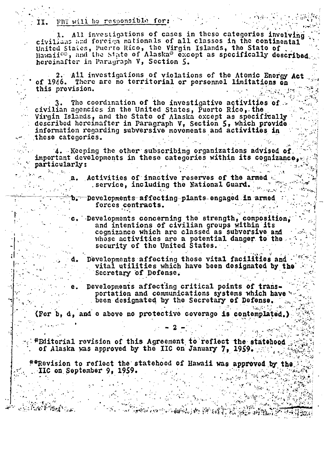#### FBT will be responsible for: II.

1. All investigations of cases in these categories involving civilians and foreign nationals of all classes in the continental United States, Puerto Rico, the Virgin Islands, the State of The Hawaii<sup>62</sup>, and the State of Alaska<sup>2</sup> except as specifically described hereinafter in Paragraph V, Section 5.

2. All investigations of violations of the Atomic Energy Act of 1946. There are no territorial or personnel limitations on this provision.

The coordination of the investigative activities of civilian agencies in the United States, Puerto Rico, the Virgin Islands, and the State of Alaska except as specifically described hereinafter in Paragraph V, Section 5, which provide information regarding subversive movements and activities in these categories.

4. Keeping the other subscribing organizations advised of. important developments in these categories within its cognizance, particularly:

> Activities of inactive reserves of the armed service, including the National Guard.

 $\mathbf{b}$ . Developments affecting plants engaged in armed forces contracts.

Developments concerning the strength, composition,<br>and intentions of civilian groups within its cognizance which are classed as subversive and whose activities are a potential danger to the security of the United States.

Developments affecting those vital facilities and vital utilities which have been designated by the Secretary of Defense.

Developments affecting critical points of transportation and communications systems which have been designated by the Secretary of Defense.

可解放射线 医腺杆菌 医细胞增加

(For b, d, and e above no protective coverage is contemplated.)

\*Editorial revision of this Agreement to reflect the statehood of Alaska was approved by the IIC on January 7, 1959.

#\*Revision to reflect the statehood of Hawaii was approved by the IIC on September 9, 1959.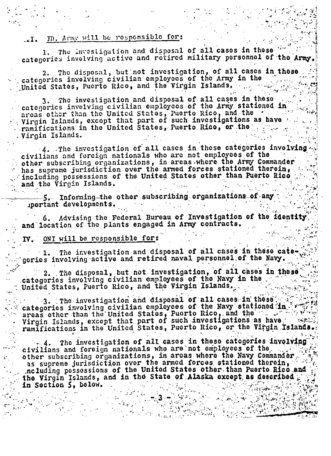#### JD, Army will be responsible for:  $\cdot$   $\cdot$   $\cdot$

The investigation and disposal of all cases in these  $1.$ categories involving active and retired military personnel of the Army.

2. The disposal, but not investigation, of all cases in these categories involving civilian employees of the Army in the

The investigation and disposal of all cases in theso З. categories involving civilian employees of the Army stationed in<br>areas other than the United States, Puerto Rico, and the<br>Virgin Islands, except that part of such investigations as have ramifications in the United States, Puerto Rico, or the Virgin Islands.

4. The investigation of all cases in these categories involving civilians and forcign nationals who are not employees of the other subscribing organizations, in areas where the Army Commander has supreme jurisdiction over the armed forces stationed therein. including possessions of the United States other than Puerto Rico and the Virgin Islands.

5. Informing the other subscribing organizations of any .portant developments.

Advising the Federal Bureau of Investigation of the identity and location of the plants engaged in Army contracts.

#### ONI will be responsible for: IV.

The investigation and disposal of all cases in these cate-1. gories involving active and retired naval personnel of the Navy.

2. The disposal, but not investigation, of all cases in these categories involving civilian employees of the Navy in the United States, Puerto Rico, and the Virgin Islands.

3. The investigation and disposal of all cases in these.<br>categories involving civilian employees of the Navy stationed in<br>areas other than the United States, Puerto Rico, and the<br>virgin Islands, except that part of such in ramifications in the United States, Puerto Rico, or the Virgin Islands.

The investigation of all cases in these categories involving  $\ddot{ }$  . 4. civilians and foreign nationals who are not employees of the other subscribing organizations, in areas where the Navy Commander. as supreme jurisdiction over the armed forces stationed therein, noluding possessions of the United States other than Puerto Rico and the Virgin Islands, and in the State of Alaska except as described in Section 5, below.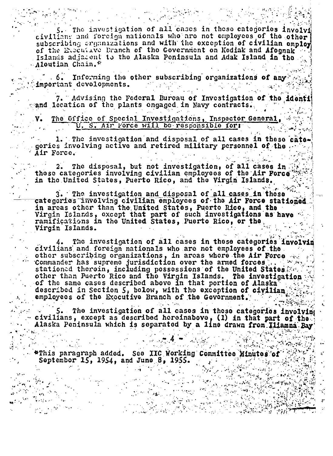$\mathsf{s}_*$ . The investigation of all cases in these categories involvi civilians and foreign nationals who are not employees of the other subscribing erganizations and with the exception of civilian employ of the Eusentave Branch of the Government on Kodiak and Afognak Islands adjacent to the Alaska Peninsula and Adak Island in the Aloutian Chain.\*

Informing the other subscribing organizations of any.  $6.6$ important devolopments.

Advising the Federal Bureau of Investigation of the identi  $\phi$  and location of the plants ongaged in Navy contracts.

The Gffice of Special Investigations, Inspector General,

1. The investigation and disposal of all cases in these cate. gories involving active and retired military personnel of the  $\cdots$ Air Force.

The disposal, but not investigation, of all cases in  $2.1$ these categories involving civilian employees of the Air Force" in the United States, Puerto Rico, and the Virgin Islands.

3. The investigation and disposal of all cases in these categories involving civilian employees of the Air Force stationed in areas other than the United States, Puerto Rico, and the Virgin Islands, except that part of such investigations as have<br>ramifications in the United States, Puerto Rico, or the Virgin Islands.

The investigation of all cases in these categories involving civilians and foreign nationals who are not employees of the other subscribing organizations, in areas where the Air Force  $\sim$ Commander has supreme jurisdiction over the armed forces ... stationed therein, including possessions of the United States. described in Section 5, bolow, with the exception of civilian employees of the Executive Branch of the Government.

5. The investigation of all cases in these categories involving civilians, except as described hereinabove, (1) in that part of the Alaska Peninsula which is separated by a line drawn from Iliamna Bay

#This paragraph added. See IIC Working Committee Minutes of 2 September 15, 1954, and June 8, 1955.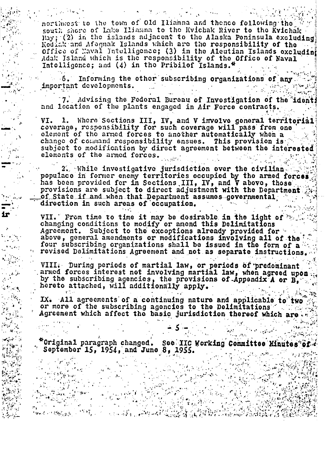northwest to the town of Old Iliamna and thence following the south shore of Lake Iliamna to the Kyichak River to the Kyichak Bay; (2) in the islands adjacent to the Alaska Poninsula excluding Kodiak and Afognak Islands which are the responsibility of the Office of Maval Intelligence; (3) in the Aleutian Islands excluding Adak Island which is the responsibility of the Office of Naval Intelligence; and (4) in the Pribilof Islands.<sup>4</sup>

6. Informing the other subscribing organizations of any important developments.

7. Advising the Federal Bureau of Investigation of the identi and location of the plants engaged in Air Force contracts.

VI. 1. Where Sections III, IV, and V involve general territorial coverage, responsibility for such coverage will pass from one denote of the armed forces to another automatically when a change of command responsibility ensues. This provision is subject to modification by direct agreement between the interested elements of the armed forces.

2. While investigative jurisdiction over the civilian and populace in former enemy territories occupied by the armed forcest.<br>has been provided for in Sections III, IV, and V above, those provisions are subject to direct adjustment with the Department of State if and when that Department assumes governmental direction in such areas of occupation.

VII. From time to time it may be dosirable in the light of changing conditions to modify or amend this Delimitations Agreement. Subject to the exceptions already provided for above, general amendments or modifications involving all of the four subscribing organizations shall be issued in the form of a revised Delimitations Agreement and not as separate instructions.

VIII. During periods of martial law, or periods of predominant armed forces interest not involving martial law, when agreed upon by the subscribing agencies, the provisions of Appendix A or B. hereto attached, will additionally apply.

IX. All agreements of a continuing nature and applicable to two<br>or more of the subscribing agencies to the Delimitations

\*Original paragraph changed. See IIC Working Committee Minutes of 4<br>September 15, 1954, and June 8, 1955.

 $\mathcal{L}_{\mathcal{L}}(\mathcal{L}_{\mathcal{L}}\otimes\mathcal{L}_{\mathcal{L}}\otimes\mathcal{L}_{\mathcal{L}}\otimes\mathcal{L}_{\mathcal{L}}\otimes\mathcal{L}_{\mathcal{L}}\otimes\mathcal{L}_{\mathcal{L}}\otimes\mathcal{L}_{\mathcal{L}}\otimes\mathcal{L}_{\mathcal{L}}\otimes\mathcal{L}_{\mathcal{L}}\otimes\mathcal{L}_{\mathcal{L}}\otimes\mathcal{L}_{\mathcal{L}}\otimes\mathcal{L}_{\mathcal{L}}\otimes\mathcal{L}_{\mathcal{L}}\otimes\mathcal{L}_{\mathcal{L}}\$ 

**一起解决**原则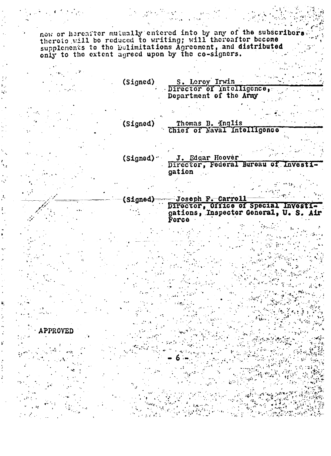now or hereafter mutually entered into by any of the subscriber<br>thereto will be reduced to writing; will thereafter become supplements to the Delimitations Agreement, and distributed only to the extent agreed upon by the co-signers.

> S. Leroy Irwin<br>Director of Intelligence,  $(Si$ qned $)$ Department of the Army

(Signed) Thomas B. Inglis Chief of Naval Intelligence

J. Edgar Hoover<br>Director, Federal Bureau  $(si$ qned)  $\cdot$  $\overline{\textbf{0}}$ gation

Joseph F. Carroll (Sianed) Director, Office of Special Investi-**Force** 

PPROVED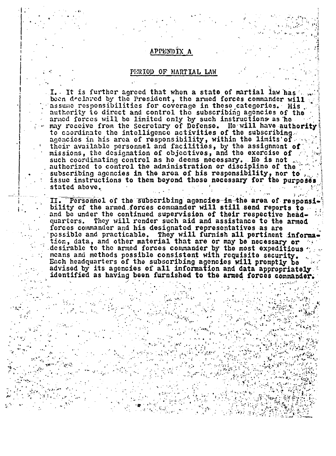# APPENDIX A

### PERIOD OF MARTIAL LAW

I. It is further agreed that when a state of martial law has been declared by the President, the armed forces commander will assume responsibilities for coverage in these categories. His authority to direct and control the subscribing agencies of the armed forces will be limited only by such instructions as he may receive from the Secretary of Defense. He will have authority to coordinate the intelligence activities of the subscribing. agencies in his area of responsibility, within the limits of  $\varepsilon$ their available personnel and facilities, by the assignment of missions, the designation of objectives, and the exercise of such coordinating control as he deems necessary. He is not authorized to control the administration or discipline of the subscribing agencies in the area of his responsibility, nor to issue instructions to them beyond those necessary for the purposes stated above.

II. Personnel of the subscribing agencies in the area of responsibility of the armed forces commander will still send reports to and be under the continued supervision of their respective head-They will render such aid and assistance to the armed quarters. forces commander and his designated representatives as are possible and practicable. They will furnish all pertinent information, data, and other material that are or may be necessary or desirable to the armed forces commander by the most expeditious means and methods possible consistent with requisite security. Each headquarters of the subscribing agencies will promptly be advised by its agencies of all information and data appropriately. identified as having been furnished to the armed forces commander.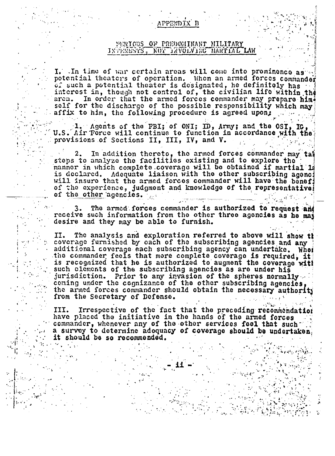# APPENDIX B

## PERIODS OF PREDOMINANT MILITARY INTERESTS, NOT INVOLVING HARTING LAW

I. In time of war certain areas will come into prominence as potential theaters of operation. When an armed forces commander  $\tilde{\mathfrak{o}}$ : such a potential theater is designated, he definitely has interest in, though not control of, the civilian life within the area. In order that the armed forces commander may prepare himself for the discharge of the possible responsibility which may affix to him, the following procedure is agreed upon;

1. Agents of the FBI; of ONI; ID, Army; and the OST, IG, U.S. Air Force will continue to function in accordance with the provisions of Sections II, III, IV, and V.

 $2.$ In addition thereto, the armed forces commander may tai steps to analyze the facilities existing and to explore the manner in which complete coverage will be obtained if martial 12 is declared. Adequate liaison with the other subscribing agenci will insure that the armed forces commander will have the benefi of the experience, judgment and knowledge of the representative.

The armed forces commander is authorized to request and 3. receive such information from the other three agencies as he may desire and they may be able to furnish.

The analysis and exploration referred to above will show the II. coverage furnished by each of the subscribing agencies and any additional coverage each subscribing agency can undertake. When the commander feels that more complete coverage is required, it such elements of the subscribing agencies as are under his jurisdiction. Prior to any invasion of the spheres normally coming under the cognizance of the other subscribing agencies. the armed forces commander should obtain the necessary authority from the Secretary of Defense.

Irrespective of the fact that the preceding recommendation III. have placed the initiative in the hands of the armed forces commander, whenever any of the other services feel that such a survey to determine adequacy of coverage should be undertaken, it should be so recommended.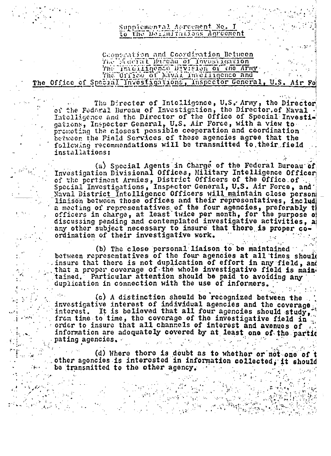Supplemental Aercement No. I to the Definitations Agreement

Capperation and Coordination Between The Macrut Macau of Investigation The Tracilinence Division of the Army The OTTRO of NAval Imelligence and The Office of Special investigations, Inspector General, U.S.

The Director of Intelligence, U.S. Army, the Director of the Fedaral Bureau of Investigation, the Director.of Naval Intelligence and the Director of the Office of Special Investigations, Inspector General, U.S. Air Force, with a view to promoting the closest possible cooperation and coordination between the Field Services of these agencies agree that the following recommendations will be transmitted to their field installations:

Air Fo

(a) Special Agents in Charge of the Federal Bureau of Investigation Divisional Offices, Military Intelligence Officer<br>of the pertinent Armies, District Officers of the Office.of. Naval District Intelligence Officers will maintain close person liaison between those offices and their representatives, includ a meeting of representatives of the four agencies, preferably the officers in charge, at least twice per month, for the purpose of discussing pending and contemplated investigative activities, a any other subject necessary to insure that there is proper coordination of their investigative work.

(b) The close personal liaison to be maintained between representatives of the four agencies at all times should insure that there is not duplication of effort in any field, and that a proper coverage of the whole investigative field is maintained. Particular attention should be paid to avoiding any duplication in connection with the use of informers.

(c) A distinction should be recognized between the investigative interest of individual agencies and the coverage. interest. It is believed that all four agencies should study, from time to time, the coverage of the investigative field in order to insure that all channels of interest and avenues of information are adequately covered by at least one of the partic pating agencies.  $\mathbb{R}^{\mathbb{Z}^2}$ 

(d) Where there is doubt as to whether or not one of t other agoncies is interosted in information collected, it should be transmitted to the other agency.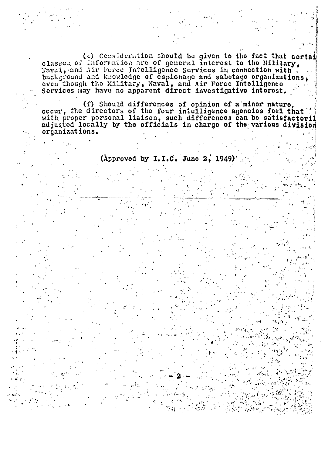(c) Consideration should be given to the fact that cortainal classes of information are of general interest to the Military, Naval, and Air Force Intelligence Services in connection with. background and knowledge of espionage and sabotage organizations. even though the Military, Naval, and Air Force Intelligence<br>Services may have no apparent direct investigative interest.

(f) Should differences of opinion of a minor nature. occur, the directors of the four intelligence agencies fool that " adjusted locally by the officials in charge of the various division organizations.

(Approved by I.I.C. June 2, 1949)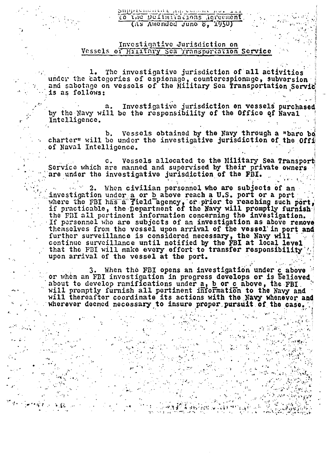## 20blirininin mir zerom to the Defimirations Agreement

(As Amended June 8, 1950)

## Investigative Jurisdiction on Vessels of Military Sea Transportation Service

The investigative jurisdiction of all activities ı. ı under the categories of espionage, counterespionage, subversion and sabotage on vessels of the Military Sea Transportation Servic is as follows:

Investigative jurisdiction on vessels purchased  $a_{\bullet}$ by the Navy will be the responsibility of the Office of Naval Intelligence.

b. Vessels obtained by the Navy through a "bare bo charter" will be under the investigative jurisdiction of the Offi of Naval Intelligence.

c. Vessels allocated to the Military Sea Transport<br>Service which are manned and supervised by their private owners are under the investigative jurisdiction of the FBI.

2. When civilian personnel who are subjects of an investigation under a or b above reach a U.S. port or a port where the FBI has a field agency, or prior to reaching such port, if practicable, the pepartment of the Navy will promptly furnish the FBI all pertinent information concerning the investigation. If personnel who are subjects of an investigation as above remove themselves from the vessel upon arrival of the vessel in port and further surveillance is considered necessary, the Navy will continue surveillance until notified by the FBI at local level that the FBI will make every effort to transfer responsibility upon arrival of the vessel at the port.

When the FBI opens an investigation under c above 3. or when an FBI investigation in progress develops or is believed about to develop ramifications under a, b or c above, the FBI. will promptly furnish all pertinent information to the Navy and<br>will thereafter coordinate its actions with the Navy whenever and wherever deemed necessary to insure proper pursuit of the case.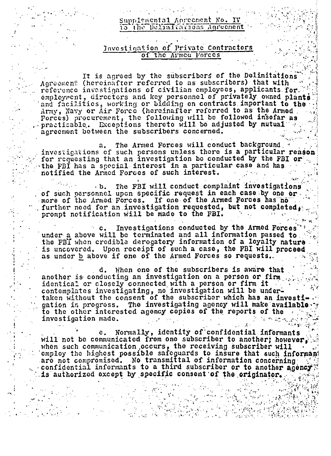#### Supplemental Aprecment No. IV io the Delimitations Agreement

# Investigation of Private Contractors of the Armed Forces

It is agreed by the subscribers of the Delimitations Agreement (hereinafter referred to as subscribers) that with reference investigations of civilian employees, applicants for. employment, directors and key personnel of privately owned plants and facilities, working or bidding on contracts important to the Army, Navy or Air Force (hereinafter referred to as the Armed) Porces) procurement, the following will be followed insofar as practicable. Exceptions thereto will be adjusted by mutual agreement between the subscribers concerned.

The Armed Forces will conduct background  $a_{\bullet}$ investigations of such persons unless there is a particular reason for requesting that an investigation be conducted by the FBI or the FBI has a special interest in a particular case and has notified the Armed Forces of such interest.

The FBI will conduct complaint investigations  $\cdot b$ . of such personnel upon specific request in each case by one or more of the Armed Forces. If one of the Armed Forces has no further need for an investigation requested, but not completed, prompt notification will be made to the FBI.

Investigations conducted by the Armed Forces  $\cdot$  C. under a above will be terminated and all information passed to the FBI when credible derogatory information of a loyalty nature is uncovered. Upon receipt of such a case, the FBI will proceed as under b above if one of the Armed Forces so requests.

When one of the subscribers is aware that d. another is conducting an investigation on a person or firm identical or closely connected with a person or firm it contemplates investigating, no investigation will be undertaken without the consent of the subscriber which has an investi-<br>gation in progress. The investigating agency will make available. to the other interested agency copies of the reports of the investigation made.  $\mathcal{L}^{\mathcal{L}}$  , where  $\mathcal{L}^{\mathcal{L}}$ 

Normally, identity of confidential informants ĉ. will not be communicated from one subscriber to another; however, when such communication occurs, the receiving subscriber will employ the highest possible safeguards to insure that such informant are not compremised. No transmittal of information concerning confidential informants to a third subscriber or to another agency is authorized except by specific consent of the originator.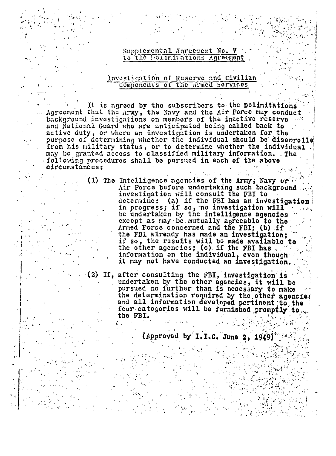#### Supplemental Agreement No. to the Delimitations Agreement

# Investigation of Reserve and Civilian<br>Components of the Armed Sorvices

It is agreed by the subscribers to the Delimitations Agreement that the Army, the Navy and the Air Force may conduct background investigations on members of the inactive reserve and National Guard who are anticipated being called back to active duty, or where an investigation is undertaken for the purpose of determining whether the individual should be disenrolle from his military status, or to determine whether the individual may be granted access to classified military information. The following procedures shall be pursued in each of the above circumstances:

> (1) The Intelligence agencies of the Army, Navy or Air Force before undertaking such background investigation will consult the FBI to determine: (a) if the FBI has an investigation<br>in progress; if so, no investigation will. be undertaken by the intelligence agencies except as may be mutually agreeable to the Armed Force concerned and the FBI; (b) if the FBI already has made an investigation: if so, the results will be made available to the other agencies; (c) if the FBI has it may not have conducted an investigation.

> (2) If, after consulting the FBI, investigation is undertaken by the other agencies, it will be pursued no further than is necessary to make the determination required by the other agencies<br>and all information developed pertinent to the four categories will be furnished promptly to the FBI.

> > (Approved by I.I.C. June 2, 1949)